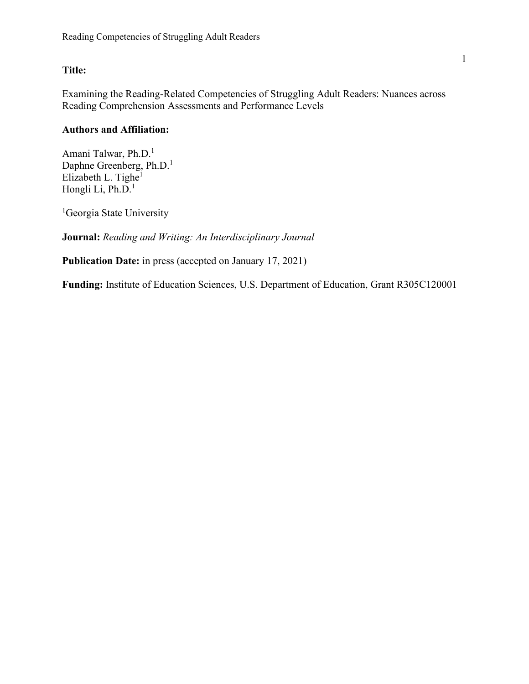## **Title:**

Examining the Reading-Related Competencies of Struggling Adult Readers: Nuances across Reading Comprehension Assessments and Performance Levels

# **Authors and Affiliation:**

Amani Talwar, Ph.D.<sup>1</sup> Daphne Greenberg, Ph.D.<sup>1</sup> Elizabeth L. Tighe $<sup>1</sup>$ </sup> Hongli Li, Ph.D.<sup>1</sup>

<sup>1</sup>Georgia State University

**Journal:** *Reading and Writing: An Interdisciplinary Journal*

**Publication Date:** in press (accepted on January 17, 2021)

**Funding:** Institute of Education Sciences, U.S. Department of Education, Grant R305C120001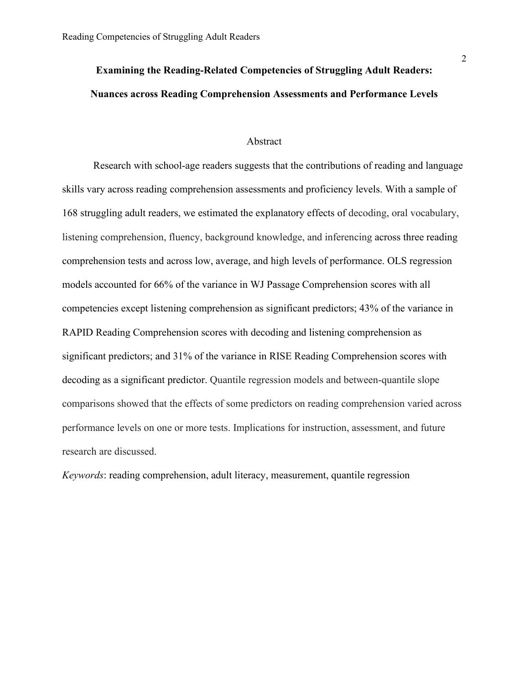# **Examining the Reading-Related Competencies of Struggling Adult Readers: Nuances across Reading Comprehension Assessments and Performance Levels**

#### Abstract

Research with school-age readers suggests that the contributions of reading and language skills vary across reading comprehension assessments and proficiency levels. With a sample of 168 struggling adult readers, we estimated the explanatory effects of decoding, oral vocabulary, listening comprehension, fluency, background knowledge, and inferencing across three reading comprehension tests and across low, average, and high levels of performance. OLS regression models accounted for 66% of the variance in WJ Passage Comprehension scores with all competencies except listening comprehension as significant predictors; 43% of the variance in RAPID Reading Comprehension scores with decoding and listening comprehension as significant predictors; and 31% of the variance in RISE Reading Comprehension scores with decoding as a significant predictor. Quantile regression models and between-quantile slope comparisons showed that the effects of some predictors on reading comprehension varied across performance levels on one or more tests. Implications for instruction, assessment, and future research are discussed.

*Keywords*: reading comprehension, adult literacy, measurement, quantile regression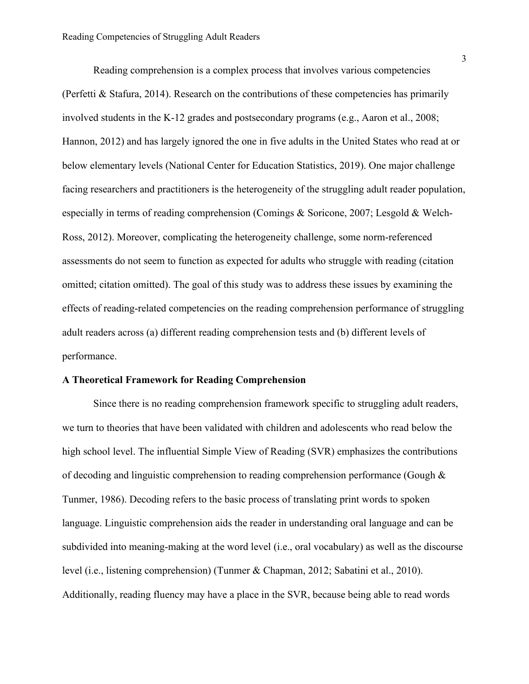Reading comprehension is a complex process that involves various competencies (Perfetti & Stafura, 2014). Research on the contributions of these competencies has primarily involved students in the K-12 grades and postsecondary programs (e.g., Aaron et al., 2008; Hannon, 2012) and has largely ignored the one in five adults in the United States who read at or below elementary levels (National Center for Education Statistics, 2019). One major challenge facing researchers and practitioners is the heterogeneity of the struggling adult reader population, especially in terms of reading comprehension (Comings & Soricone, 2007; Lesgold & Welch-Ross, 2012). Moreover, complicating the heterogeneity challenge, some norm-referenced assessments do not seem to function as expected for adults who struggle with reading (citation omitted; citation omitted). The goal of this study was to address these issues by examining the effects of reading-related competencies on the reading comprehension performance of struggling adult readers across (a) different reading comprehension tests and (b) different levels of performance.

### **A Theoretical Framework for Reading Comprehension**

Since there is no reading comprehension framework specific to struggling adult readers, we turn to theories that have been validated with children and adolescents who read below the high school level. The influential Simple View of Reading (SVR) emphasizes the contributions of decoding and linguistic comprehension to reading comprehension performance (Gough & Tunmer, 1986). Decoding refers to the basic process of translating print words to spoken language. Linguistic comprehension aids the reader in understanding oral language and can be subdivided into meaning-making at the word level (i.e., oral vocabulary) as well as the discourse level (i.e., listening comprehension) (Tunmer & Chapman, 2012; Sabatini et al., 2010). Additionally, reading fluency may have a place in the SVR, because being able to read words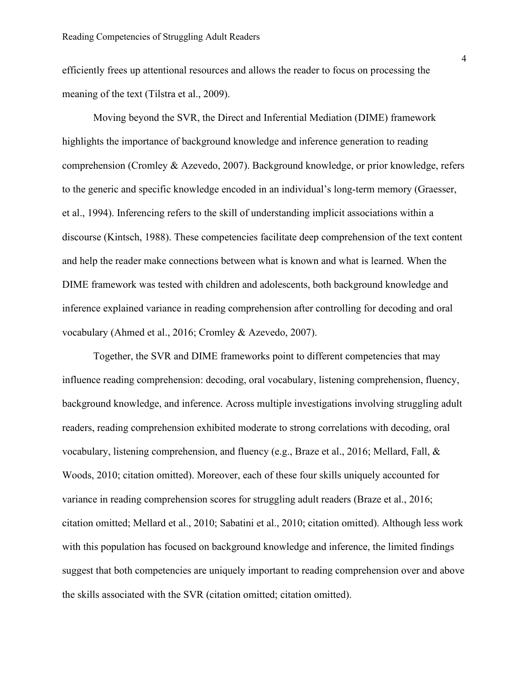efficiently frees up attentional resources and allows the reader to focus on processing the meaning of the text (Tilstra et al., 2009).

Moving beyond the SVR, the Direct and Inferential Mediation (DIME) framework highlights the importance of background knowledge and inference generation to reading comprehension (Cromley & Azevedo, 2007). Background knowledge, or prior knowledge, refers to the generic and specific knowledge encoded in an individual's long-term memory (Graesser, et al., 1994). Inferencing refers to the skill of understanding implicit associations within a discourse (Kintsch, 1988). These competencies facilitate deep comprehension of the text content and help the reader make connections between what is known and what is learned. When the DIME framework was tested with children and adolescents, both background knowledge and inference explained variance in reading comprehension after controlling for decoding and oral vocabulary (Ahmed et al., 2016; Cromley & Azevedo, 2007).

Together, the SVR and DIME frameworks point to different competencies that may influence reading comprehension: decoding, oral vocabulary, listening comprehension, fluency, background knowledge, and inference. Across multiple investigations involving struggling adult readers, reading comprehension exhibited moderate to strong correlations with decoding, oral vocabulary, listening comprehension, and fluency (e.g., Braze et al., 2016; Mellard, Fall, & Woods, 2010; citation omitted). Moreover, each of these four skills uniquely accounted for variance in reading comprehension scores for struggling adult readers (Braze et al., 2016; citation omitted; Mellard et al., 2010; Sabatini et al., 2010; citation omitted). Although less work with this population has focused on background knowledge and inference, the limited findings suggest that both competencies are uniquely important to reading comprehension over and above the skills associated with the SVR (citation omitted; citation omitted).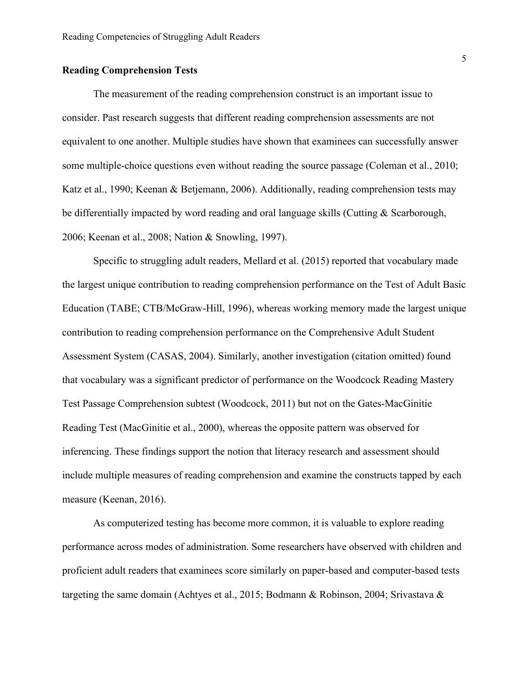#### **Reading Comprehension Tests**

The measurement of the reading comprehension construct is an important issue to consider. Past research suggests that different reading comprehension assessments are not equivalent to one another. Multiple studies have shown that examinees can successfully answer some multiple-choice questions even without reading the source passage (Coleman et al., 2010; Katz et al., 1990; Keenan & Betjemann, 2006). Additionally, reading comprehension tests may be differentially impacted by word reading and oral language skills (Cutting & Scarborough, 2006; Keenan et al., 2008; Nation & Snowling, 1997).

Specific to struggling adult readers, Mellard et al. (2015) reported that vocabulary made the largest unique contribution to reading comprehension performance on the Test of Adult Basic Education (TABE; CTB/McGraw-Hill, 1996), whereas working memory made the largest unique contribution to reading comprehension performance on the Comprehensive Adult Student Assessment System (CASAS, 2004). Similarly, another investigation (citation omitted) found that vocabulary was a significant predictor of performance on the Woodcock Reading Mastery Test Passage Comprehension subtest (Woodcock, 2011) but not on the Gates-MacGinitie Reading Test (MacGinitie et al., 2000), whereas the opposite pattern was observed for inferencing. These findings support the notion that literacy research and assessment should include multiple measures of reading comprehension and examine the constructs tapped by each measure (Keenan, 2016).

As computerized testing has become more common, it is valuable to explore reading performance across modes of administration. Some researchers have observed with children and proficient adult readers that examinees score similarly on paper-based and computer-based tests targeting the same domain (Achtyes et al., 2015; Bodmann & Robinson, 2004; Srivastava &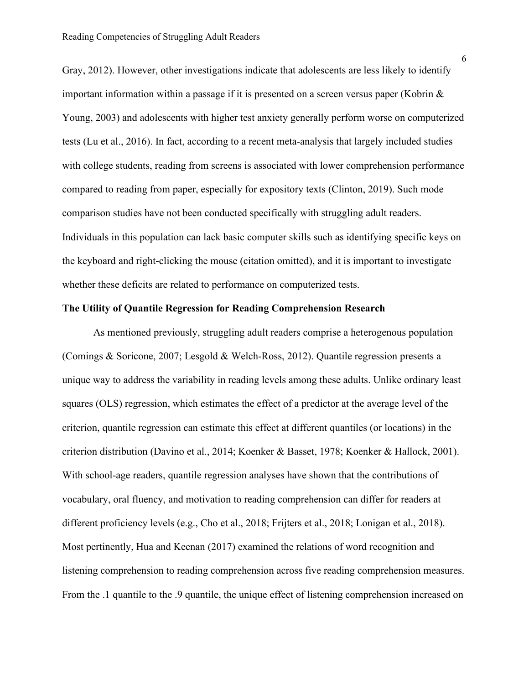Gray, 2012). However, other investigations indicate that adolescents are less likely to identify important information within a passage if it is presented on a screen versus paper (Kobrin & Young, 2003) and adolescents with higher test anxiety generally perform worse on computerized tests (Lu et al., 2016). In fact, according to a recent meta-analysis that largely included studies with college students, reading from screens is associated with lower comprehension performance compared to reading from paper, especially for expository texts (Clinton, 2019). Such mode comparison studies have not been conducted specifically with struggling adult readers. Individuals in this population can lack basic computer skills such as identifying specific keys on the keyboard and right-clicking the mouse (citation omitted), and it is important to investigate whether these deficits are related to performance on computerized tests.

#### **The Utility of Quantile Regression for Reading Comprehension Research**

As mentioned previously, struggling adult readers comprise a heterogenous population (Comings & Soricone, 2007; Lesgold & Welch-Ross, 2012). Quantile regression presents a unique way to address the variability in reading levels among these adults. Unlike ordinary least squares (OLS) regression, which estimates the effect of a predictor at the average level of the criterion, quantile regression can estimate this effect at different quantiles (or locations) in the criterion distribution (Davino et al., 2014; Koenker & Basset, 1978; Koenker & Hallock, 2001). With school-age readers, quantile regression analyses have shown that the contributions of vocabulary, oral fluency, and motivation to reading comprehension can differ for readers at different proficiency levels (e.g., Cho et al., 2018; Frijters et al., 2018; Lonigan et al., 2018). Most pertinently, Hua and Keenan (2017) examined the relations of word recognition and listening comprehension to reading comprehension across five reading comprehension measures. From the .1 quantile to the .9 quantile, the unique effect of listening comprehension increased on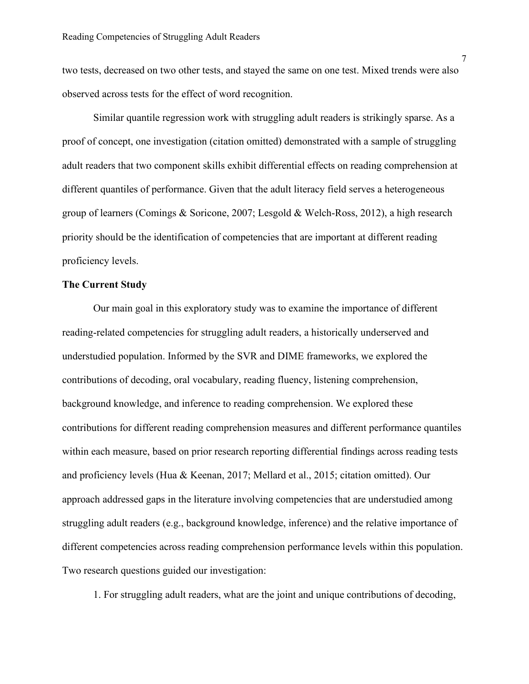two tests, decreased on two other tests, and stayed the same on one test. Mixed trends were also observed across tests for the effect of word recognition.

Similar quantile regression work with struggling adult readers is strikingly sparse. As a proof of concept, one investigation (citation omitted) demonstrated with a sample of struggling adult readers that two component skills exhibit differential effects on reading comprehension at different quantiles of performance. Given that the adult literacy field serves a heterogeneous group of learners (Comings & Soricone, 2007; Lesgold & Welch-Ross, 2012), a high research priority should be the identification of competencies that are important at different reading proficiency levels.

## **The Current Study**

Our main goal in this exploratory study was to examine the importance of different reading-related competencies for struggling adult readers, a historically underserved and understudied population. Informed by the SVR and DIME frameworks, we explored the contributions of decoding, oral vocabulary, reading fluency, listening comprehension, background knowledge, and inference to reading comprehension. We explored these contributions for different reading comprehension measures and different performance quantiles within each measure, based on prior research reporting differential findings across reading tests and proficiency levels (Hua & Keenan, 2017; Mellard et al., 2015; citation omitted). Our approach addressed gaps in the literature involving competencies that are understudied among struggling adult readers (e.g., background knowledge, inference) and the relative importance of different competencies across reading comprehension performance levels within this population. Two research questions guided our investigation:

1. For struggling adult readers, what are the joint and unique contributions of decoding,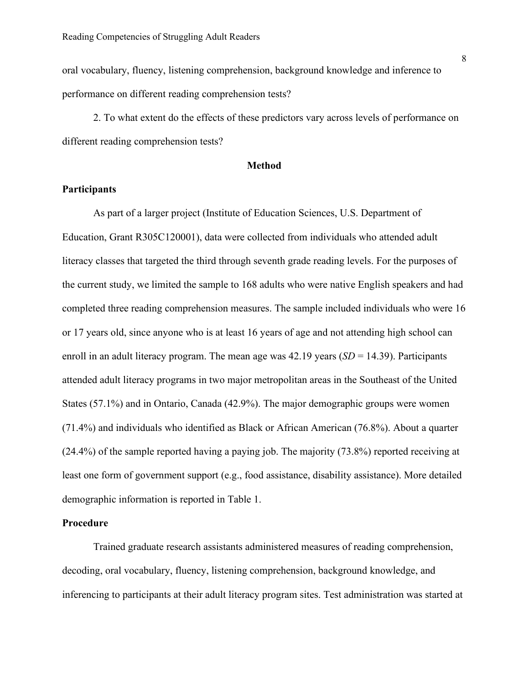oral vocabulary, fluency, listening comprehension, background knowledge and inference to performance on different reading comprehension tests?

2. To what extent do the effects of these predictors vary across levels of performance on different reading comprehension tests?

#### **Method**

#### **Participants**

As part of a larger project (Institute of Education Sciences, U.S. Department of Education, Grant R305C120001), data were collected from individuals who attended adult literacy classes that targeted the third through seventh grade reading levels. For the purposes of the current study, we limited the sample to 168 adults who were native English speakers and had completed three reading comprehension measures. The sample included individuals who were 16 or 17 years old, since anyone who is at least 16 years of age and not attending high school can enroll in an adult literacy program. The mean age was 42.19 years (*SD* = 14.39). Participants attended adult literacy programs in two major metropolitan areas in the Southeast of the United States (57.1%) and in Ontario, Canada (42.9%). The major demographic groups were women (71.4%) and individuals who identified as Black or African American (76.8%). About a quarter (24.4%) of the sample reported having a paying job. The majority (73.8%) reported receiving at least one form of government support (e.g., food assistance, disability assistance). More detailed demographic information is reported in Table 1.

### **Procedure**

Trained graduate research assistants administered measures of reading comprehension, decoding, oral vocabulary, fluency, listening comprehension, background knowledge, and inferencing to participants at their adult literacy program sites. Test administration was started at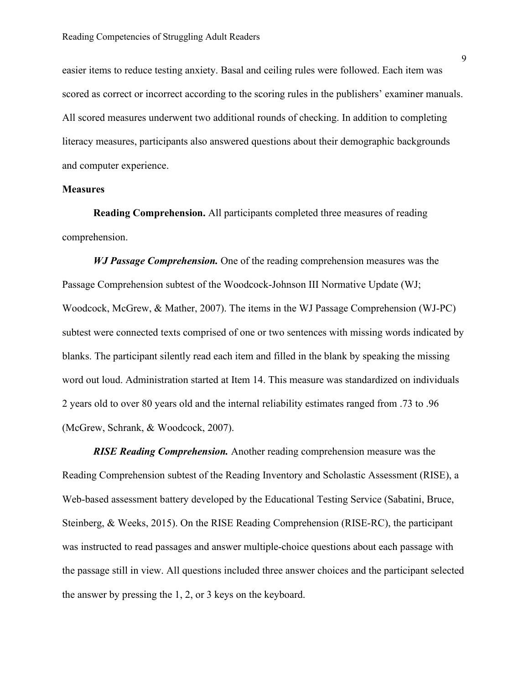easier items to reduce testing anxiety. Basal and ceiling rules were followed. Each item was scored as correct or incorrect according to the scoring rules in the publishers' examiner manuals. All scored measures underwent two additional rounds of checking. In addition to completing literacy measures, participants also answered questions about their demographic backgrounds and computer experience.

#### **Measures**

**Reading Comprehension.** All participants completed three measures of reading comprehension.

*WJ Passage Comprehension.* One of the reading comprehension measures was the Passage Comprehension subtest of the Woodcock-Johnson III Normative Update (WJ; Woodcock, McGrew, & Mather, 2007). The items in the WJ Passage Comprehension (WJ-PC) subtest were connected texts comprised of one or two sentences with missing words indicated by blanks. The participant silently read each item and filled in the blank by speaking the missing word out loud. Administration started at Item 14. This measure was standardized on individuals 2 years old to over 80 years old and the internal reliability estimates ranged from .73 to .96 (McGrew, Schrank, & Woodcock, 2007).

*RISE Reading Comprehension.* Another reading comprehension measure was the Reading Comprehension subtest of the Reading Inventory and Scholastic Assessment (RISE), a Web-based assessment battery developed by the Educational Testing Service (Sabatini, Bruce, Steinberg, & Weeks, 2015). On the RISE Reading Comprehension (RISE-RC), the participant was instructed to read passages and answer multiple-choice questions about each passage with the passage still in view. All questions included three answer choices and the participant selected the answer by pressing the 1, 2, or 3 keys on the keyboard.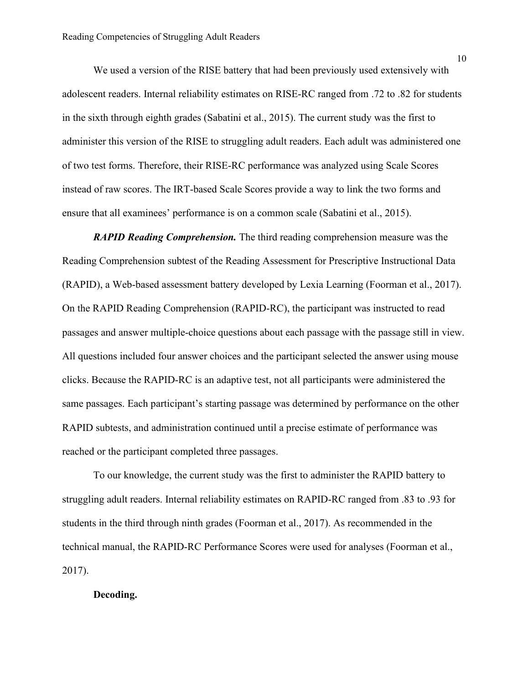We used a version of the RISE battery that had been previously used extensively with adolescent readers. Internal reliability estimates on RISE-RC ranged from .72 to .82 for students in the sixth through eighth grades (Sabatini et al., 2015). The current study was the first to administer this version of the RISE to struggling adult readers. Each adult was administered one of two test forms. Therefore, their RISE-RC performance was analyzed using Scale Scores instead of raw scores. The IRT-based Scale Scores provide a way to link the two forms and ensure that all examinees' performance is on a common scale (Sabatini et al., 2015).

*RAPID Reading Comprehension.* The third reading comprehension measure was the Reading Comprehension subtest of the Reading Assessment for Prescriptive Instructional Data (RAPID), a Web-based assessment battery developed by Lexia Learning (Foorman et al., 2017). On the RAPID Reading Comprehension (RAPID-RC), the participant was instructed to read passages and answer multiple-choice questions about each passage with the passage still in view. All questions included four answer choices and the participant selected the answer using mouse clicks. Because the RAPID-RC is an adaptive test, not all participants were administered the same passages. Each participant's starting passage was determined by performance on the other RAPID subtests, and administration continued until a precise estimate of performance was reached or the participant completed three passages.

To our knowledge, the current study was the first to administer the RAPID battery to struggling adult readers. Internal reliability estimates on RAPID-RC ranged from .83 to .93 for students in the third through ninth grades (Foorman et al., 2017). As recommended in the technical manual, the RAPID-RC Performance Scores were used for analyses (Foorman et al., 2017).

### **Decoding.**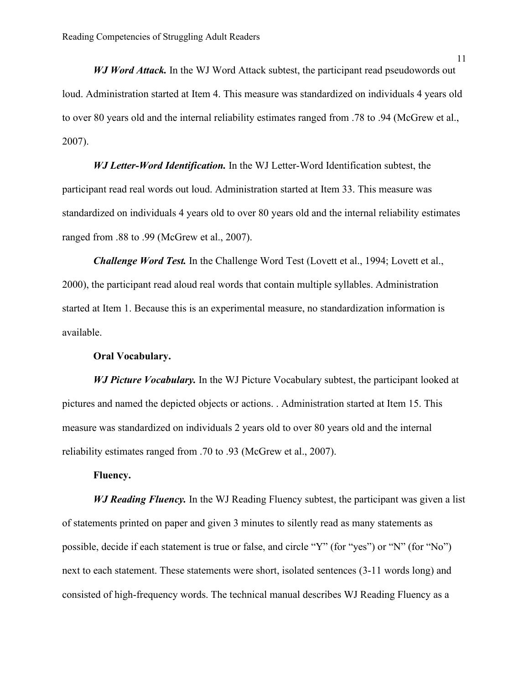*WJ Word Attack.* In the WJ Word Attack subtest, the participant read pseudowords out loud. Administration started at Item 4. This measure was standardized on individuals 4 years old to over 80 years old and the internal reliability estimates ranged from .78 to .94 (McGrew et al., 2007).

*WJ Letter-Word Identification.* In the WJ Letter-Word Identification subtest, the participant read real words out loud. Administration started at Item 33. This measure was standardized on individuals 4 years old to over 80 years old and the internal reliability estimates ranged from .88 to .99 (McGrew et al., 2007).

*Challenge Word Test.* In the Challenge Word Test (Lovett et al., 1994; Lovett et al., 2000), the participant read aloud real words that contain multiple syllables. Administration started at Item 1. Because this is an experimental measure, no standardization information is available.

#### **Oral Vocabulary.**

*WJ Picture Vocabulary.* In the WJ Picture Vocabulary subtest, the participant looked at pictures and named the depicted objects or actions. . Administration started at Item 15. This measure was standardized on individuals 2 years old to over 80 years old and the internal reliability estimates ranged from .70 to .93 (McGrew et al., 2007).

## **Fluency.**

*WJ Reading Fluency.* In the WJ Reading Fluency subtest, the participant was given a list of statements printed on paper and given 3 minutes to silently read as many statements as possible, decide if each statement is true or false, and circle "Y" (for "yes") or "N" (for "No") next to each statement. These statements were short, isolated sentences (3-11 words long) and consisted of high-frequency words. The technical manual describes WJ Reading Fluency as a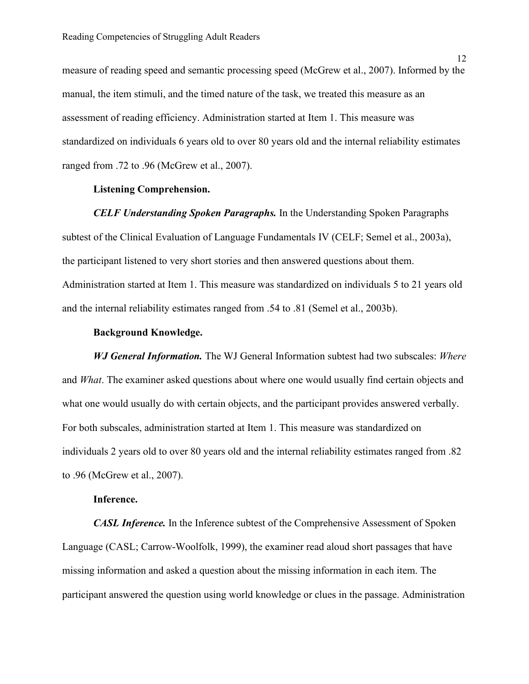measure of reading speed and semantic processing speed (McGrew et al., 2007). Informed by the manual, the item stimuli, and the timed nature of the task, we treated this measure as an assessment of reading efficiency. Administration started at Item 1. This measure was standardized on individuals 6 years old to over 80 years old and the internal reliability estimates ranged from .72 to .96 (McGrew et al., 2007).

#### **Listening Comprehension.**

*CELF Understanding Spoken Paragraphs.* In the Understanding Spoken Paragraphs subtest of the Clinical Evaluation of Language Fundamentals IV (CELF; Semel et al., 2003a), the participant listened to very short stories and then answered questions about them. Administration started at Item 1. This measure was standardized on individuals 5 to 21 years old and the internal reliability estimates ranged from .54 to .81 (Semel et al., 2003b).

#### **Background Knowledge.**

*WJ General Information.* The WJ General Information subtest had two subscales: *Where*  and *What*. The examiner asked questions about where one would usually find certain objects and what one would usually do with certain objects, and the participant provides answered verbally. For both subscales, administration started at Item 1. This measure was standardized on individuals 2 years old to over 80 years old and the internal reliability estimates ranged from .82 to .96 (McGrew et al., 2007).

#### **Inference.**

*CASL Inference.* In the Inference subtest of the Comprehensive Assessment of Spoken Language (CASL; Carrow-Woolfolk, 1999), the examiner read aloud short passages that have missing information and asked a question about the missing information in each item. The participant answered the question using world knowledge or clues in the passage. Administration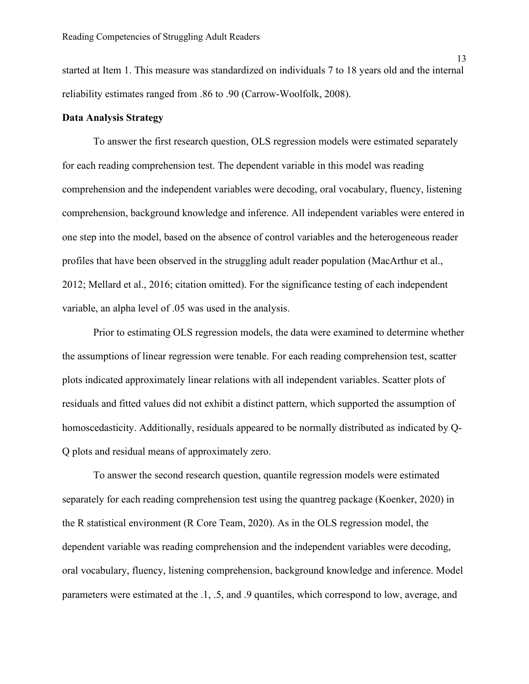started at Item 1. This measure was standardized on individuals 7 to 18 years old and the internal reliability estimates ranged from .86 to .90 (Carrow-Woolfolk, 2008).

#### **Data Analysis Strategy**

To answer the first research question, OLS regression models were estimated separately for each reading comprehension test. The dependent variable in this model was reading comprehension and the independent variables were decoding, oral vocabulary, fluency, listening comprehension, background knowledge and inference. All independent variables were entered in one step into the model, based on the absence of control variables and the heterogeneous reader profiles that have been observed in the struggling adult reader population (MacArthur et al., 2012; Mellard et al., 2016; citation omitted). For the significance testing of each independent variable, an alpha level of .05 was used in the analysis.

Prior to estimating OLS regression models, the data were examined to determine whether the assumptions of linear regression were tenable. For each reading comprehension test, scatter plots indicated approximately linear relations with all independent variables. Scatter plots of residuals and fitted values did not exhibit a distinct pattern, which supported the assumption of homoscedasticity. Additionally, residuals appeared to be normally distributed as indicated by Q-Q plots and residual means of approximately zero.

To answer the second research question, quantile regression models were estimated separately for each reading comprehension test using the quantreg package (Koenker, 2020) in the R statistical environment (R Core Team, 2020). As in the OLS regression model, the dependent variable was reading comprehension and the independent variables were decoding, oral vocabulary, fluency, listening comprehension, background knowledge and inference. Model parameters were estimated at the .1, .5, and .9 quantiles, which correspond to low, average, and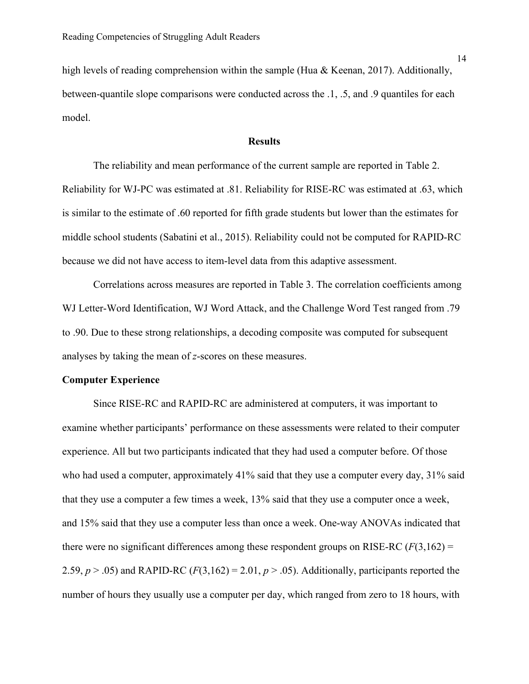high levels of reading comprehension within the sample (Hua & Keenan, 2017). Additionally, between-quantile slope comparisons were conducted across the .1, .5, and .9 quantiles for each model.

#### **Results**

The reliability and mean performance of the current sample are reported in Table 2. Reliability for WJ-PC was estimated at .81. Reliability for RISE-RC was estimated at .63, which is similar to the estimate of .60 reported for fifth grade students but lower than the estimates for middle school students (Sabatini et al., 2015). Reliability could not be computed for RAPID-RC because we did not have access to item-level data from this adaptive assessment.

Correlations across measures are reported in Table 3. The correlation coefficients among WJ Letter-Word Identification, WJ Word Attack, and the Challenge Word Test ranged from .79 to .90. Due to these strong relationships, a decoding composite was computed for subsequent analyses by taking the mean of *z*-scores on these measures.

#### **Computer Experience**

Since RISE-RC and RAPID-RC are administered at computers, it was important to examine whether participants' performance on these assessments were related to their computer experience. All but two participants indicated that they had used a computer before. Of those who had used a computer, approximately 41% said that they use a computer every day, 31% said that they use a computer a few times a week, 13% said that they use a computer once a week, and 15% said that they use a computer less than once a week. One-way ANOVAs indicated that there were no significant differences among these respondent groups on RISE-RC  $(F(3,162)$  = 2.59,  $p > .05$ ) and RAPID-RC ( $F(3,162) = 2.01$ ,  $p > .05$ ). Additionally, participants reported the number of hours they usually use a computer per day, which ranged from zero to 18 hours, with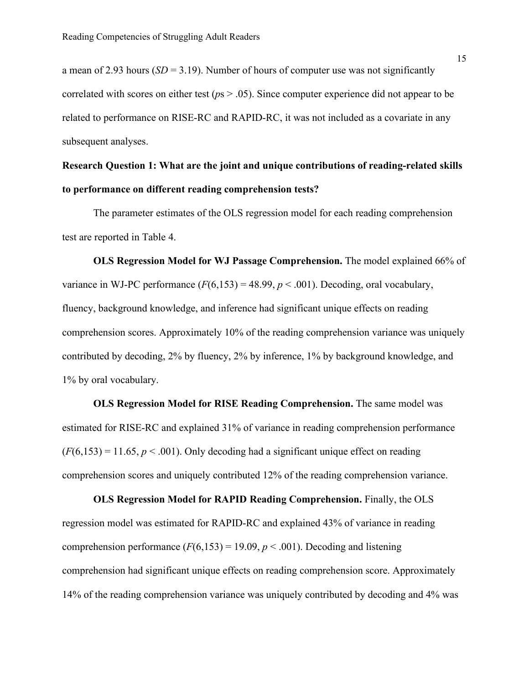a mean of 2.93 hours  $(SD = 3.19)$ . Number of hours of computer use was not significantly correlated with scores on either test (*p*s > .05). Since computer experience did not appear to be related to performance on RISE-RC and RAPID-RC, it was not included as a covariate in any subsequent analyses.

# **Research Question 1: What are the joint and unique contributions of reading-related skills to performance on different reading comprehension tests?**

The parameter estimates of the OLS regression model for each reading comprehension test are reported in Table 4.

**OLS Regression Model for WJ Passage Comprehension.** The model explained 66% of variance in WJ-PC performance  $(F(6,153) = 48.99, p < .001)$ . Decoding, oral vocabulary, fluency, background knowledge, and inference had significant unique effects on reading comprehension scores. Approximately 10% of the reading comprehension variance was uniquely contributed by decoding, 2% by fluency, 2% by inference, 1% by background knowledge, and 1% by oral vocabulary.

**OLS Regression Model for RISE Reading Comprehension.** The same model was estimated for RISE-RC and explained 31% of variance in reading comprehension performance  $(F(6, 153) = 11.65, p < .001)$ . Only decoding had a significant unique effect on reading comprehension scores and uniquely contributed 12% of the reading comprehension variance.

**OLS Regression Model for RAPID Reading Comprehension.** Finally, the OLS regression model was estimated for RAPID-RC and explained 43% of variance in reading comprehension performance  $(F(6,153) = 19.09, p < .001)$ . Decoding and listening comprehension had significant unique effects on reading comprehension score. Approximately 14% of the reading comprehension variance was uniquely contributed by decoding and 4% was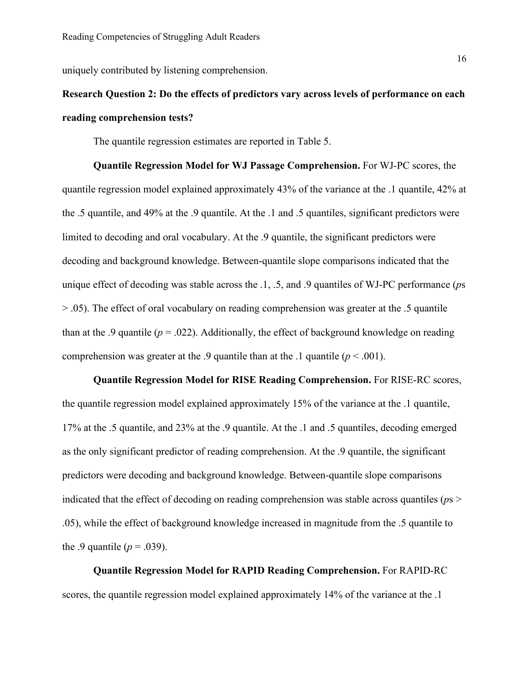uniquely contributed by listening comprehension.

# **Research Question 2: Do the effects of predictors vary across levels of performance on each reading comprehension tests?**

The quantile regression estimates are reported in Table 5.

**Quantile Regression Model for WJ Passage Comprehension.** For WJ-PC scores, the quantile regression model explained approximately 43% of the variance at the .1 quantile, 42% at the .5 quantile, and 49% at the .9 quantile. At the .1 and .5 quantiles, significant predictors were limited to decoding and oral vocabulary. At the .9 quantile, the significant predictors were decoding and background knowledge. Between-quantile slope comparisons indicated that the unique effect of decoding was stable across the .1, .5, and .9 quantiles of WJ-PC performance (*p*s > .05). The effect of oral vocabulary on reading comprehension was greater at the .5 quantile than at the .9 quantile ( $p = .022$ ). Additionally, the effect of background knowledge on reading comprehension was greater at the .9 quantile than at the .1 quantile  $(p < .001)$ .

**Quantile Regression Model for RISE Reading Comprehension.** For RISE-RC scores, the quantile regression model explained approximately 15% of the variance at the .1 quantile, 17% at the .5 quantile, and 23% at the .9 quantile. At the .1 and .5 quantiles, decoding emerged as the only significant predictor of reading comprehension. At the .9 quantile, the significant predictors were decoding and background knowledge. Between-quantile slope comparisons indicated that the effect of decoding on reading comprehension was stable across quantiles (*p*s > .05), while the effect of background knowledge increased in magnitude from the .5 quantile to the .9 quantile  $(p = .039)$ .

**Quantile Regression Model for RAPID Reading Comprehension.** For RAPID-RC scores, the quantile regression model explained approximately 14% of the variance at the .1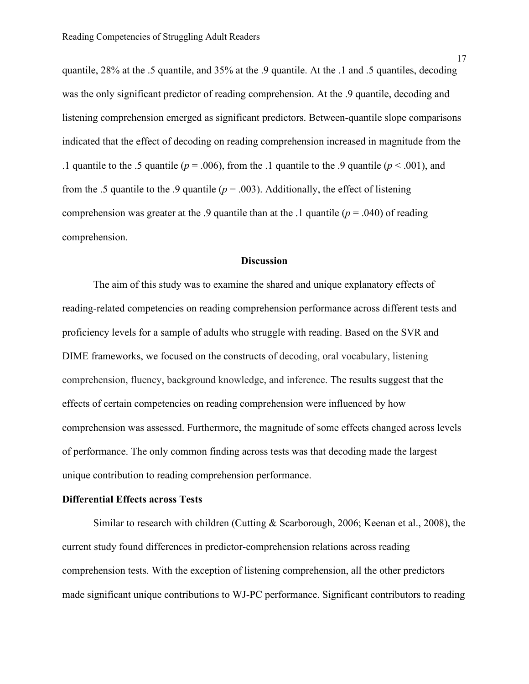quantile, 28% at the .5 quantile, and 35% at the .9 quantile. At the .1 and .5 quantiles, decoding was the only significant predictor of reading comprehension. At the .9 quantile, decoding and listening comprehension emerged as significant predictors. Between-quantile slope comparisons indicated that the effect of decoding on reading comprehension increased in magnitude from the .1 quantile to the .5 quantile ( $p = .006$ ), from the .1 quantile to the .9 quantile ( $p < .001$ ), and from the .5 quantile to the .9 quantile ( $p = .003$ ). Additionally, the effect of listening comprehension was greater at the .9 quantile than at the .1 quantile  $(p = .040)$  of reading comprehension.

#### **Discussion**

The aim of this study was to examine the shared and unique explanatory effects of reading-related competencies on reading comprehension performance across different tests and proficiency levels for a sample of adults who struggle with reading. Based on the SVR and DIME frameworks, we focused on the constructs of decoding, oral vocabulary, listening comprehension, fluency, background knowledge, and inference. The results suggest that the effects of certain competencies on reading comprehension were influenced by how comprehension was assessed. Furthermore, the magnitude of some effects changed across levels of performance. The only common finding across tests was that decoding made the largest unique contribution to reading comprehension performance.

#### **Differential Effects across Tests**

Similar to research with children (Cutting & Scarborough, 2006; Keenan et al., 2008), the current study found differences in predictor-comprehension relations across reading comprehension tests. With the exception of listening comprehension, all the other predictors made significant unique contributions to WJ-PC performance. Significant contributors to reading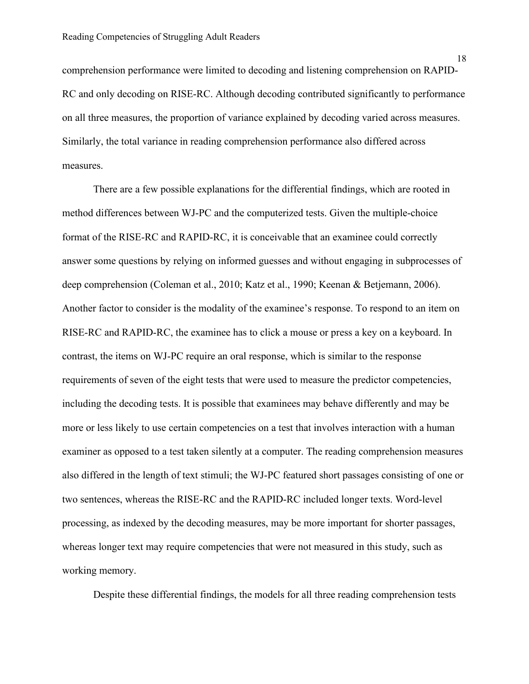comprehension performance were limited to decoding and listening comprehension on RAPID-RC and only decoding on RISE-RC. Although decoding contributed significantly to performance on all three measures, the proportion of variance explained by decoding varied across measures. Similarly, the total variance in reading comprehension performance also differed across measures.

There are a few possible explanations for the differential findings, which are rooted in method differences between WJ-PC and the computerized tests. Given the multiple-choice format of the RISE-RC and RAPID-RC, it is conceivable that an examinee could correctly answer some questions by relying on informed guesses and without engaging in subprocesses of deep comprehension (Coleman et al., 2010; Katz et al., 1990; Keenan & Betjemann, 2006). Another factor to consider is the modality of the examinee's response. To respond to an item on RISE-RC and RAPID-RC, the examinee has to click a mouse or press a key on a keyboard. In contrast, the items on WJ-PC require an oral response, which is similar to the response requirements of seven of the eight tests that were used to measure the predictor competencies, including the decoding tests. It is possible that examinees may behave differently and may be more or less likely to use certain competencies on a test that involves interaction with a human examiner as opposed to a test taken silently at a computer. The reading comprehension measures also differed in the length of text stimuli; the WJ-PC featured short passages consisting of one or two sentences, whereas the RISE-RC and the RAPID-RC included longer texts. Word-level processing, as indexed by the decoding measures, may be more important for shorter passages, whereas longer text may require competencies that were not measured in this study, such as working memory.

Despite these differential findings, the models for all three reading comprehension tests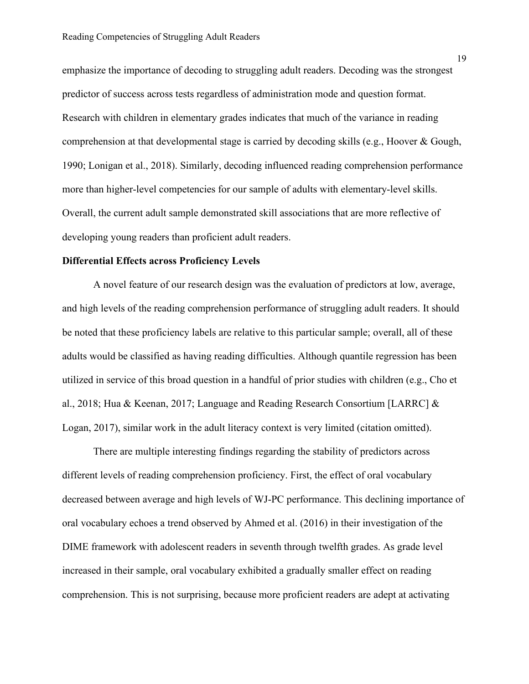emphasize the importance of decoding to struggling adult readers. Decoding was the strongest predictor of success across tests regardless of administration mode and question format. Research with children in elementary grades indicates that much of the variance in reading comprehension at that developmental stage is carried by decoding skills (e.g., Hoover & Gough, 1990; Lonigan et al., 2018). Similarly, decoding influenced reading comprehension performance more than higher-level competencies for our sample of adults with elementary-level skills. Overall, the current adult sample demonstrated skill associations that are more reflective of developing young readers than proficient adult readers.

#### **Differential Effects across Proficiency Levels**

A novel feature of our research design was the evaluation of predictors at low, average, and high levels of the reading comprehension performance of struggling adult readers. It should be noted that these proficiency labels are relative to this particular sample; overall, all of these adults would be classified as having reading difficulties. Although quantile regression has been utilized in service of this broad question in a handful of prior studies with children (e.g., Cho et al., 2018; Hua & Keenan, 2017; Language and Reading Research Consortium [LARRC] & Logan, 2017), similar work in the adult literacy context is very limited (citation omitted).

There are multiple interesting findings regarding the stability of predictors across different levels of reading comprehension proficiency. First, the effect of oral vocabulary decreased between average and high levels of WJ-PC performance. This declining importance of oral vocabulary echoes a trend observed by Ahmed et al. (2016) in their investigation of the DIME framework with adolescent readers in seventh through twelfth grades. As grade level increased in their sample, oral vocabulary exhibited a gradually smaller effect on reading comprehension. This is not surprising, because more proficient readers are adept at activating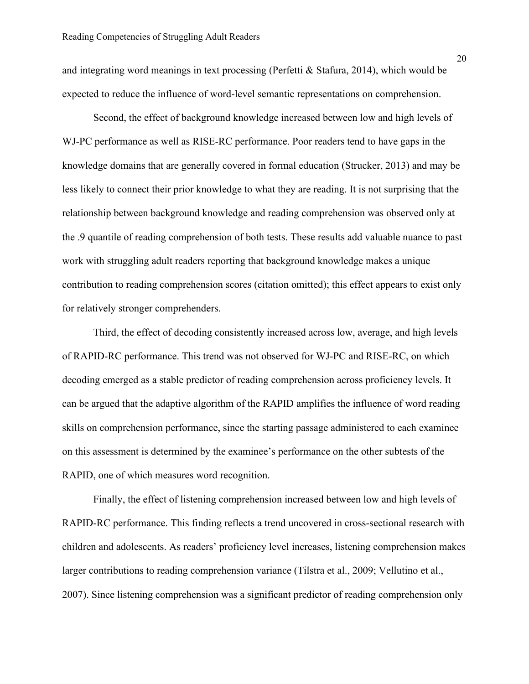and integrating word meanings in text processing (Perfetti & Stafura, 2014), which would be expected to reduce the influence of word-level semantic representations on comprehension.

Second, the effect of background knowledge increased between low and high levels of WJ-PC performance as well as RISE-RC performance. Poor readers tend to have gaps in the knowledge domains that are generally covered in formal education (Strucker, 2013) and may be less likely to connect their prior knowledge to what they are reading. It is not surprising that the relationship between background knowledge and reading comprehension was observed only at the .9 quantile of reading comprehension of both tests. These results add valuable nuance to past work with struggling adult readers reporting that background knowledge makes a unique contribution to reading comprehension scores (citation omitted); this effect appears to exist only for relatively stronger comprehenders.

Third, the effect of decoding consistently increased across low, average, and high levels of RAPID-RC performance. This trend was not observed for WJ-PC and RISE-RC, on which decoding emerged as a stable predictor of reading comprehension across proficiency levels. It can be argued that the adaptive algorithm of the RAPID amplifies the influence of word reading skills on comprehension performance, since the starting passage administered to each examinee on this assessment is determined by the examinee's performance on the other subtests of the RAPID, one of which measures word recognition.

Finally, the effect of listening comprehension increased between low and high levels of RAPID-RC performance. This finding reflects a trend uncovered in cross-sectional research with children and adolescents. As readers' proficiency level increases, listening comprehension makes larger contributions to reading comprehension variance (Tilstra et al., 2009; Vellutino et al., 2007). Since listening comprehension was a significant predictor of reading comprehension only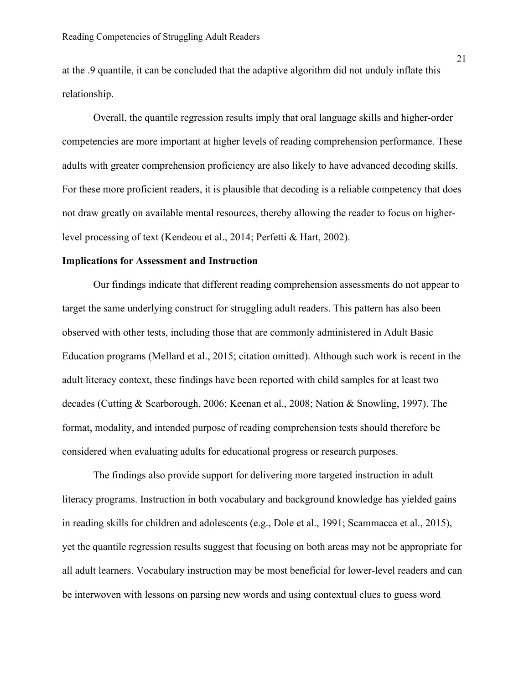at the .9 quantile, it can be concluded that the adaptive algorithm did not unduly inflate this relationship.

Overall, the quantile regression results imply that oral language skills and higher-order competencies are more important at higher levels of reading comprehension performance. These adults with greater comprehension proficiency are also likely to have advanced decoding skills. For these more proficient readers, it is plausible that decoding is a reliable competency that does not draw greatly on available mental resources, thereby allowing the reader to focus on higherlevel processing of text (Kendeou et al., 2014; Perfetti & Hart, 2002).

#### **Implications for Assessment and Instruction**

Our findings indicate that different reading comprehension assessments do not appear to target the same underlying construct for struggling adult readers. This pattern has also been observed with other tests, including those that are commonly administered in Adult Basic Education programs (Mellard et al., 2015; citation omitted). Although such work is recent in the adult literacy context, these findings have been reported with child samples for at least two decades (Cutting & Scarborough, 2006; Keenan et al., 2008; Nation & Snowling, 1997). The format, modality, and intended purpose of reading comprehension tests should therefore be considered when evaluating adults for educational progress or research purposes.

The findings also provide support for delivering more targeted instruction in adult literacy programs. Instruction in both vocabulary and background knowledge has yielded gains in reading skills for children and adolescents (e.g., Dole et al., 1991; Scammacca et al., 2015), yet the quantile regression results suggest that focusing on both areas may not be appropriate for all adult learners. Vocabulary instruction may be most beneficial for lower-level readers and can be interwoven with lessons on parsing new words and using contextual clues to guess word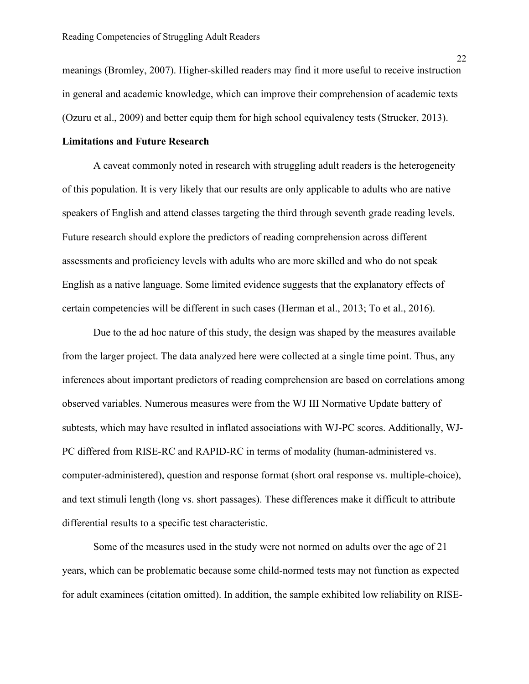meanings (Bromley, 2007). Higher-skilled readers may find it more useful to receive instruction in general and academic knowledge, which can improve their comprehension of academic texts (Ozuru et al., 2009) and better equip them for high school equivalency tests (Strucker, 2013).

#### **Limitations and Future Research**

A caveat commonly noted in research with struggling adult readers is the heterogeneity of this population. It is very likely that our results are only applicable to adults who are native speakers of English and attend classes targeting the third through seventh grade reading levels. Future research should explore the predictors of reading comprehension across different assessments and proficiency levels with adults who are more skilled and who do not speak English as a native language. Some limited evidence suggests that the explanatory effects of certain competencies will be different in such cases (Herman et al., 2013; To et al., 2016).

Due to the ad hoc nature of this study, the design was shaped by the measures available from the larger project. The data analyzed here were collected at a single time point. Thus, any inferences about important predictors of reading comprehension are based on correlations among observed variables. Numerous measures were from the WJ III Normative Update battery of subtests, which may have resulted in inflated associations with WJ-PC scores. Additionally, WJ-PC differed from RISE-RC and RAPID-RC in terms of modality (human-administered vs. computer-administered), question and response format (short oral response vs. multiple-choice), and text stimuli length (long vs. short passages). These differences make it difficult to attribute differential results to a specific test characteristic.

Some of the measures used in the study were not normed on adults over the age of 21 years, which can be problematic because some child-normed tests may not function as expected for adult examinees (citation omitted). In addition, the sample exhibited low reliability on RISE-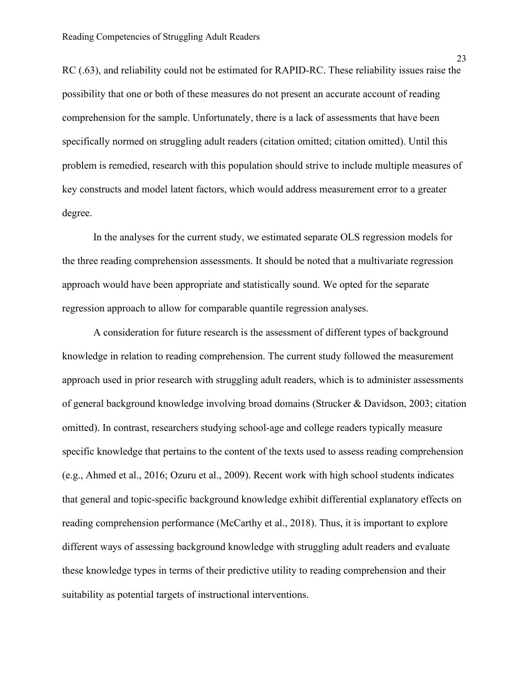RC (.63), and reliability could not be estimated for RAPID-RC. These reliability issues raise the possibility that one or both of these measures do not present an accurate account of reading comprehension for the sample. Unfortunately, there is a lack of assessments that have been specifically normed on struggling adult readers (citation omitted; citation omitted). Until this problem is remedied, research with this population should strive to include multiple measures of key constructs and model latent factors, which would address measurement error to a greater degree.

In the analyses for the current study, we estimated separate OLS regression models for the three reading comprehension assessments. It should be noted that a multivariate regression approach would have been appropriate and statistically sound. We opted for the separate regression approach to allow for comparable quantile regression analyses.

A consideration for future research is the assessment of different types of background knowledge in relation to reading comprehension. The current study followed the measurement approach used in prior research with struggling adult readers, which is to administer assessments of general background knowledge involving broad domains (Strucker & Davidson, 2003; citation omitted). In contrast, researchers studying school-age and college readers typically measure specific knowledge that pertains to the content of the texts used to assess reading comprehension (e.g., Ahmed et al., 2016; Ozuru et al., 2009). Recent work with high school students indicates that general and topic-specific background knowledge exhibit differential explanatory effects on reading comprehension performance (McCarthy et al., 2018). Thus, it is important to explore different ways of assessing background knowledge with struggling adult readers and evaluate these knowledge types in terms of their predictive utility to reading comprehension and their suitability as potential targets of instructional interventions.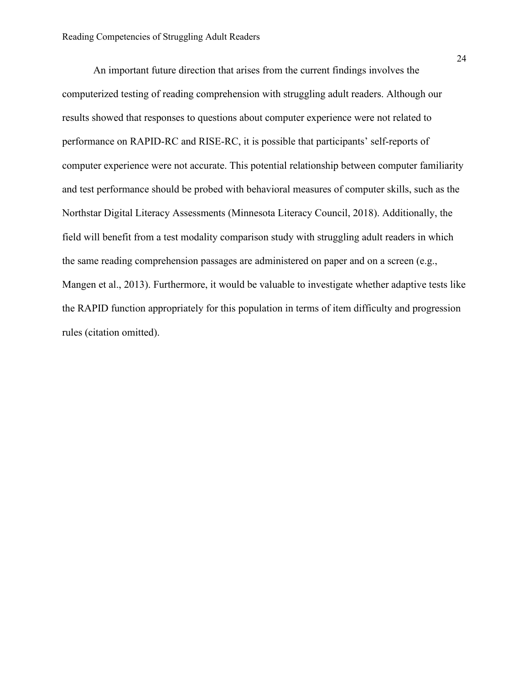An important future direction that arises from the current findings involves the computerized testing of reading comprehension with struggling adult readers. Although our results showed that responses to questions about computer experience were not related to performance on RAPID-RC and RISE-RC, it is possible that participants' self-reports of computer experience were not accurate. This potential relationship between computer familiarity and test performance should be probed with behavioral measures of computer skills, such as the Northstar Digital Literacy Assessments (Minnesota Literacy Council, 2018). Additionally, the field will benefit from a test modality comparison study with struggling adult readers in which the same reading comprehension passages are administered on paper and on a screen (e.g., Mangen et al., 2013). Furthermore, it would be valuable to investigate whether adaptive tests like the RAPID function appropriately for this population in terms of item difficulty and progression rules (citation omitted).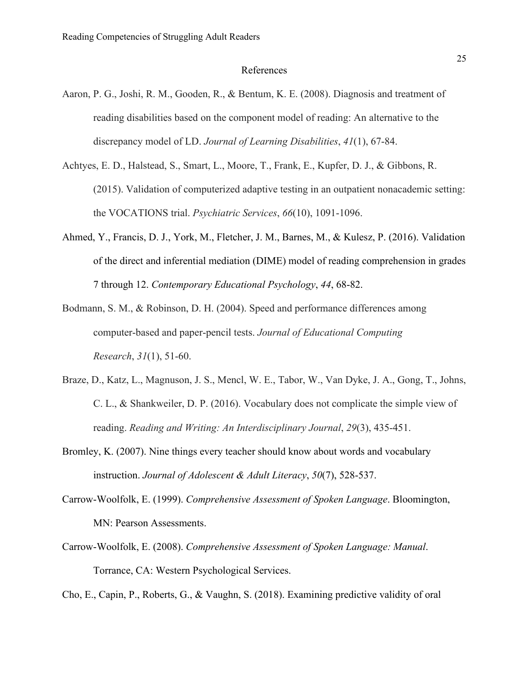#### References

- Aaron, P. G., Joshi, R. M., Gooden, R., & Bentum, K. E. (2008). Diagnosis and treatment of reading disabilities based on the component model of reading: An alternative to the discrepancy model of LD. *Journal of Learning Disabilities*, *41*(1), 67-84.
- Achtyes, E. D., Halstead, S., Smart, L., Moore, T., Frank, E., Kupfer, D. J., & Gibbons, R. (2015). Validation of computerized adaptive testing in an outpatient nonacademic setting: the VOCATIONS trial. *Psychiatric Services*, *66*(10), 1091-1096.
- Ahmed, Y., Francis, D. J., York, M., Fletcher, J. M., Barnes, M., & Kulesz, P. (2016). Validation of the direct and inferential mediation (DIME) model of reading comprehension in grades 7 through 12. *Contemporary Educational Psychology*, *44*, 68-82.
- Bodmann, S. M., & Robinson, D. H. (2004). Speed and performance differences among computer-based and paper-pencil tests. *Journal of Educational Computing Research*, *31*(1), 51-60.
- Braze, D., Katz, L., Magnuson, J. S., Mencl, W. E., Tabor, W., Van Dyke, J. A., Gong, T., Johns, C. L., & Shankweiler, D. P. (2016). Vocabulary does not complicate the simple view of reading. *Reading and Writing: An Interdisciplinary Journal*, *29*(3), 435-451.
- Bromley, K. (2007). Nine things every teacher should know about words and vocabulary instruction. *Journal of Adolescent & Adult Literacy*, *50*(7), 528-537.
- Carrow-Woolfolk, E. (1999). *Comprehensive Assessment of Spoken Language*. Bloomington, MN: Pearson Assessments.
- Carrow-Woolfolk, E. (2008). *Comprehensive Assessment of Spoken Language: Manual*. Torrance, CA: Western Psychological Services.

Cho, E., Capin, P., Roberts, G., & Vaughn, S. (2018). Examining predictive validity of oral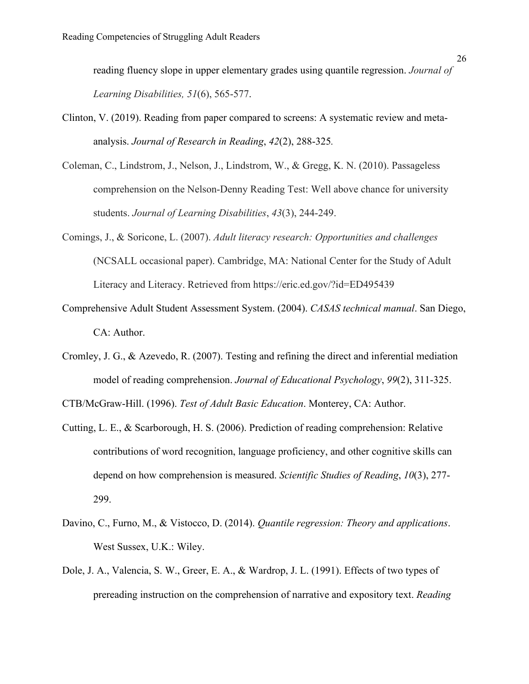reading fluency slope in upper elementary grades using quantile regression. *Journal of Learning Disabilities, 51*(6), 565-577.

- Clinton, V. (2019). Reading from paper compared to screens: A systematic review and meta‐ analysis. *Journal of Research in Reading*, *42*(2), 288-325*.*
- Coleman, C., Lindstrom, J., Nelson, J., Lindstrom, W., & Gregg, K. N. (2010). Passageless comprehension on the Nelson-Denny Reading Test: Well above chance for university students. *Journal of Learning Disabilities*, *43*(3), 244-249.
- Comings, J., & Soricone, L. (2007). *Adult literacy research: Opportunities and challenges* (NCSALL occasional paper). Cambridge, MA: National Center for the Study of Adult Literacy and Literacy. Retrieved from https://eric.ed.gov/?id=ED495439
- Comprehensive Adult Student Assessment System. (2004). *CASAS technical manual*. San Diego, CA: Author.
- Cromley, J. G., & Azevedo, R. (2007). Testing and refining the direct and inferential mediation model of reading comprehension. *Journal of Educational Psychology*, *99*(2), 311-325.

CTB/McGraw-Hill. (1996). *Test of Adult Basic Education*. Monterey, CA: Author.

- Cutting, L. E., & Scarborough, H. S. (2006). Prediction of reading comprehension: Relative contributions of word recognition, language proficiency, and other cognitive skills can depend on how comprehension is measured. *Scientific Studies of Reading*, *10*(3), 277- 299.
- Davino, C., Furno, M., & Vistocco, D. (2014). *Quantile regression: Theory and applications*. West Sussex, U.K.: Wiley.
- Dole, J. A., Valencia, S. W., Greer, E. A., & Wardrop, J. L. (1991). Effects of two types of prereading instruction on the comprehension of narrative and expository text. *Reading*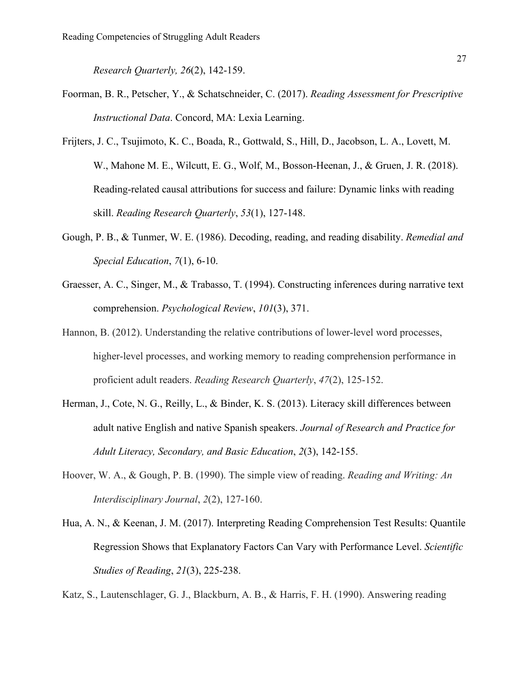*Research Quarterly, 26*(2), 142-159.

- Foorman, B. R., Petscher, Y., & Schatschneider, C. (2017). *Reading Assessment for Prescriptive Instructional Data*. Concord, MA: Lexia Learning.
- Frijters, J. C., Tsujimoto, K. C., Boada, R., Gottwald, S., Hill, D., Jacobson, L. A., Lovett, M. W., Mahone M. E., Wilcutt, E. G., Wolf, M., Bosson-Heenan, J., & Gruen, J. R. (2018). Reading‐related causal attributions for success and failure: Dynamic links with reading skill. *Reading Research Quarterly*, *53*(1), 127-148.
- Gough, P. B., & Tunmer, W. E. (1986). Decoding, reading, and reading disability. *Remedial and Special Education*, *7*(1), 6-10.
- Graesser, A. C., Singer, M., & Trabasso, T. (1994). Constructing inferences during narrative text comprehension. *Psychological Review*, *101*(3), 371.
- Hannon, B. (2012). Understanding the relative contributions of lower-level word processes, higher-level processes, and working memory to reading comprehension performance in proficient adult readers. *Reading Research Quarterly*, *47*(2), 125-152.
- Herman, J., Cote, N. G., Reilly, L., & Binder, K. S. (2013). Literacy skill differences between adult native English and native Spanish speakers. *Journal of Research and Practice for Adult Literacy, Secondary, and Basic Education*, *2*(3), 142-155.
- Hoover, W. A., & Gough, P. B. (1990). The simple view of reading. *Reading and Writing: An Interdisciplinary Journal*, *2*(2), 127-160.
- Hua, A. N., & Keenan, J. M. (2017). Interpreting Reading Comprehension Test Results: Quantile Regression Shows that Explanatory Factors Can Vary with Performance Level. *Scientific Studies of Reading*, *21*(3), 225-238.

Katz, S., Lautenschlager, G. J., Blackburn, A. B., & Harris, F. H. (1990). Answering reading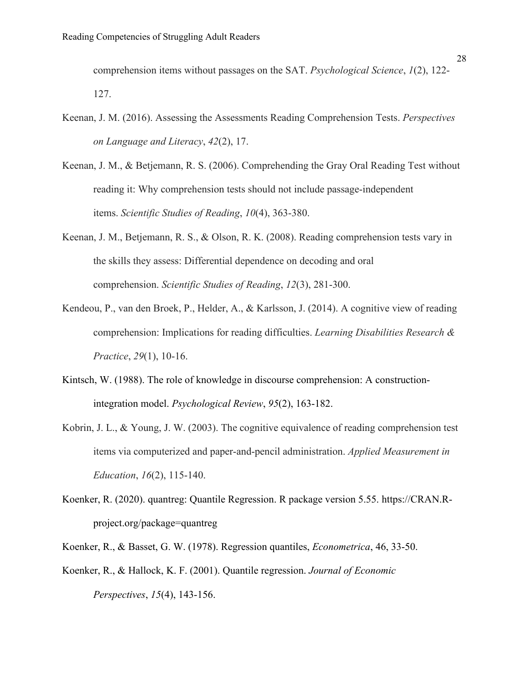comprehension items without passages on the SAT. *Psychological Science*, *1*(2), 122- 127.

- Keenan, J. M. (2016). Assessing the Assessments Reading Comprehension Tests. *Perspectives on Language and Literacy*, *42*(2), 17.
- Keenan, J. M., & Betjemann, R. S. (2006). Comprehending the Gray Oral Reading Test without reading it: Why comprehension tests should not include passage-independent items. *Scientific Studies of Reading*, *10*(4), 363-380.
- Keenan, J. M., Betjemann, R. S., & Olson, R. K. (2008). Reading comprehension tests vary in the skills they assess: Differential dependence on decoding and oral comprehension. *Scientific Studies of Reading*, *12*(3), 281-300.
- Kendeou, P., van den Broek, P., Helder, A., & Karlsson, J. (2014). A cognitive view of reading comprehension: Implications for reading difficulties. *Learning Disabilities Research & Practice*, *29*(1), 10-16.
- Kintsch, W. (1988). The role of knowledge in discourse comprehension: A constructionintegration model. *Psychological Review*, *95*(2), 163-182.
- Kobrin, J. L., & Young, J. W. (2003). The cognitive equivalence of reading comprehension test items via computerized and paper-and-pencil administration. *Applied Measurement in Education*, *16*(2), 115-140.
- Koenker, R. (2020). quantreg: Quantile Regression. R package version 5.55. https://CRAN.Rproject.org/package=quantreg

Koenker, R., & Basset, G. W. (1978). Regression quantiles, *Econometrica*, 46, 33-50.

Koenker, R., & Hallock, K. F. (2001). Quantile regression. *Journal of Economic Perspectives*, *15*(4), 143-156.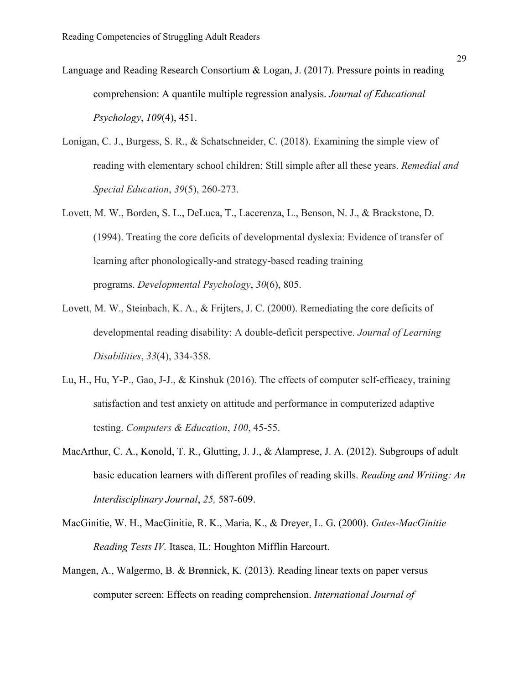- Language and Reading Research Consortium & Logan, J. (2017). Pressure points in reading comprehension: A quantile multiple regression analysis. *Journal of Educational Psychology*, *109*(4), 451.
- Lonigan, C. J., Burgess, S. R., & Schatschneider, C. (2018). Examining the simple view of reading with elementary school children: Still simple after all these years. *Remedial and Special Education*, *39*(5), 260-273.
- Lovett, M. W., Borden, S. L., DeLuca, T., Lacerenza, L., Benson, N. J., & Brackstone, D. (1994). Treating the core deficits of developmental dyslexia: Evidence of transfer of learning after phonologically-and strategy-based reading training programs. *Developmental Psychology*, *30*(6), 805.
- Lovett, M. W., Steinbach, K. A., & Frijters, J. C. (2000). Remediating the core deficits of developmental reading disability: A double-deficit perspective. *Journal of Learning Disabilities*, *33*(4), 334-358.
- Lu, H., Hu, Y-P., Gao, J-J., & Kinshuk (2016). The effects of computer self-efficacy, training satisfaction and test anxiety on attitude and performance in computerized adaptive testing. *Computers & Education*, *100*, 45-55.
- MacArthur, C. A., Konold, T. R., Glutting, J. J., & Alamprese, J. A. (2012). Subgroups of adult basic education learners with different profiles of reading skills. *Reading and Writing: An Interdisciplinary Journal*, *25,* 587-609.
- MacGinitie, W. H., MacGinitie, R. K., Maria, K., & Dreyer, L. G. (2000). *Gates-MacGinitie Reading Tests IV.* Itasca, IL: Houghton Mifflin Harcourt.
- Mangen, A., Walgermo, B. & Brønnick, K. (2013). Reading linear texts on paper versus computer screen: Effects on reading comprehension. *International Journal of*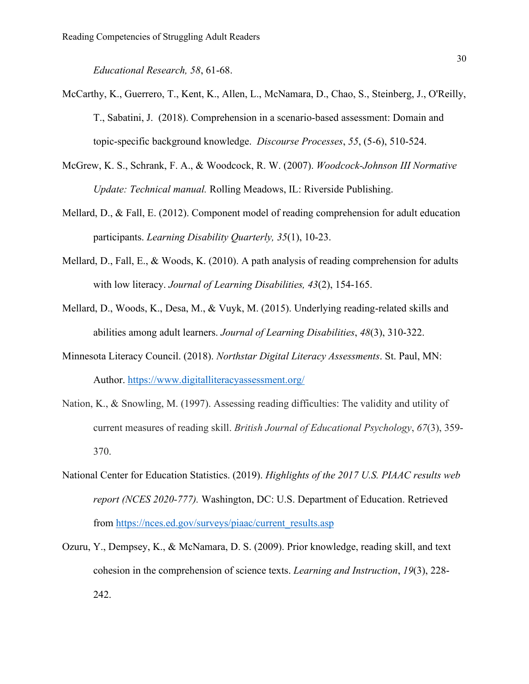*Educational Research, 58*, 61-68.

- McCarthy, K., Guerrero, T., Kent, K., Allen, L., McNamara, D., Chao, S., Steinberg, J., O'Reilly, T., Sabatini, J. (2018). Comprehension in a scenario-based assessment: Domain and topic-specific background knowledge. *Discourse Processes*, *55*, (5-6), 510-524.
- McGrew, K. S., Schrank, F. A., & Woodcock, R. W. (2007). *Woodcock-Johnson III Normative Update: Technical manual.* Rolling Meadows, IL: Riverside Publishing.
- Mellard, D., & Fall, E. (2012). Component model of reading comprehension for adult education participants. *Learning Disability Quarterly, 35*(1), 10-23.
- Mellard, D., Fall, E., & Woods, K. (2010). A path analysis of reading comprehension for adults with low literacy. *Journal of Learning Disabilities, 43*(2), 154-165.
- Mellard, D., Woods, K., Desa, M., & Vuyk, M. (2015). Underlying reading-related skills and abilities among adult learners. *Journal of Learning Disabilities*, *48*(3), 310-322.
- Minnesota Literacy Council. (2018). *Northstar Digital Literacy Assessments*. St. Paul, MN: Author.<https://www.digitalliteracyassessment.org/>
- Nation, K., & Snowling, M. (1997). Assessing reading difficulties: The validity and utility of current measures of reading skill. *British Journal of Educational Psychology*, *67*(3), 359- 370.
- National Center for Education Statistics. (2019). *Highlights of the 2017 U.S. PIAAC results web report (NCES 2020-777).* Washington, DC: U.S. Department of Education. Retrieved from [https://nces.ed.gov/surveys/piaac/current\\_results.asp](https://nces.ed.gov/surveys/piaac/current_results.asp)
- Ozuru, Y., Dempsey, K., & McNamara, D. S. (2009). Prior knowledge, reading skill, and text cohesion in the comprehension of science texts. *Learning and Instruction*, *19*(3), 228- 242.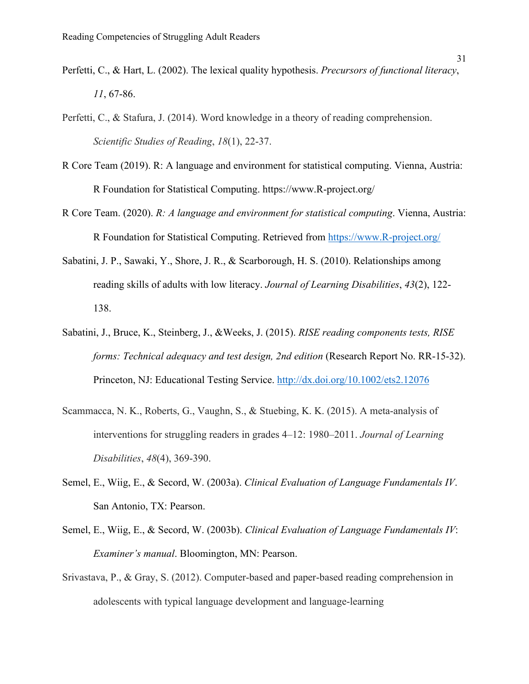- Perfetti, C., & Hart, L. (2002). The lexical quality hypothesis. *Precursors of functional literacy*, *11*, 67-86.
- Perfetti, C., & Stafura, J. (2014). Word knowledge in a theory of reading comprehension. *Scientific Studies of Reading*, *18*(1), 22-37.
- R Core Team (2019). R: A language and environment for statistical computing. Vienna, Austria: R Foundation for Statistical Computing. https://www.R-project.org/
- R Core Team. (2020). *R: A language and environment for statistical computing*. Vienna, Austria: R Foundation for Statistical Computing. Retrieved from [https://www.R-project.org/](https://www.r-project.org/)
- Sabatini, J. P., Sawaki, Y., Shore, J. R., & Scarborough, H. S. (2010). Relationships among reading skills of adults with low literacy. *Journal of Learning Disabilities*, *43*(2), 122- 138.
- Sabatini, J., Bruce, K., Steinberg, J., &Weeks, J. (2015). *RISE reading components tests, RISE forms: Technical adequacy and test design, 2nd edition* (Research Report No. RR-15-32). Princeton, NJ: Educational Testing Service.<http://dx.doi.org/10.1002/ets2.12076>
- Scammacca, N. K., Roberts, G., Vaughn, S., & Stuebing, K. K. (2015). A meta-analysis of interventions for struggling readers in grades 4–12: 1980–2011. *Journal of Learning Disabilities*, *48*(4), 369-390.
- Semel, E., Wiig, E., & Secord, W. (2003a). *Clinical Evaluation of Language Fundamentals IV*. San Antonio, TX: Pearson.
- Semel, E., Wiig, E., & Secord, W. (2003b). *Clinical Evaluation of Language Fundamentals IV*: *Examiner's manual*. Bloomington, MN: Pearson.
- Srivastava, P., & Gray, S. (2012). Computer-based and paper-based reading comprehension in adolescents with typical language development and language-learning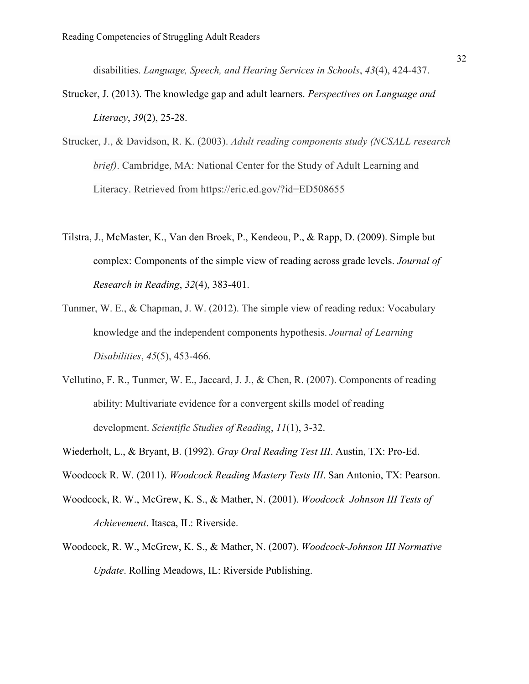disabilities. *Language, Speech, and Hearing Services in Schools*, *43*(4), 424-437.

- Strucker, J. (2013). The knowledge gap and adult learners. *Perspectives on Language and Literacy*, *39*(2), 25-28.
- Strucker, J., & Davidson, R. K. (2003). *Adult reading components study (NCSALL research brief)*. Cambridge, MA: National Center for the Study of Adult Learning and Literacy. Retrieved from https://eric.ed.gov/?id=ED508655
- Tilstra, J., McMaster, K., Van den Broek, P., Kendeou, P., & Rapp, D. (2009). Simple but complex: Components of the simple view of reading across grade levels. *Journal of Research in Reading*, *32*(4), 383-401.
- Tunmer, W. E., & Chapman, J. W. (2012). The simple view of reading redux: Vocabulary knowledge and the independent components hypothesis. *Journal of Learning Disabilities*, *45*(5), 453-466.
- Vellutino, F. R., Tunmer, W. E., Jaccard, J. J., & Chen, R. (2007). Components of reading ability: Multivariate evidence for a convergent skills model of reading development. *Scientific Studies of Reading*, *11*(1), 3-32.
- Wiederholt, L., & Bryant, B. (1992). *Gray Oral Reading Test III*. Austin, TX: Pro-Ed.
- Woodcock R. W. (2011). *Woodcock Reading Mastery Tests III*. San Antonio, TX: Pearson.
- Woodcock, R. W., McGrew, K. S., & Mather, N. (2001). *Woodcock–Johnson III Tests of Achievement*. Itasca, IL: Riverside.
- Woodcock, R. W., McGrew, K. S., & Mather, N. (2007). *Woodcock-Johnson III Normative Update*. Rolling Meadows, IL: Riverside Publishing.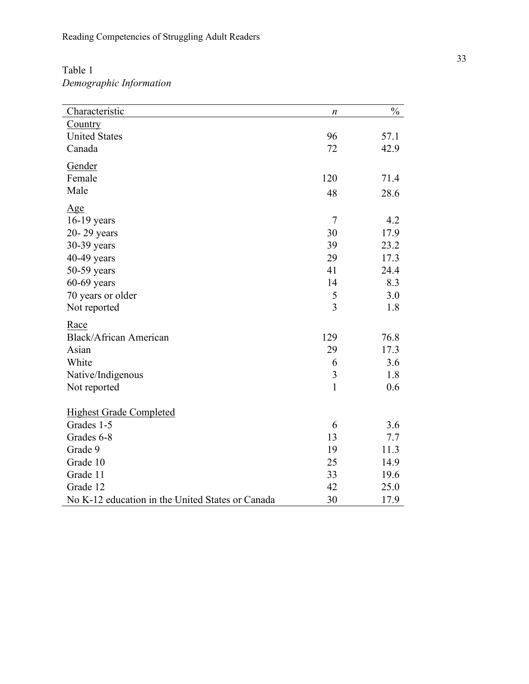Reading Competencies of Struggling Adult Readers

# Table 1 *Demographic Information*

| Country<br><b>United States</b><br>57.1<br>96<br>72<br>Canada<br>42.9<br>Gender<br>120<br>71.4<br>Female<br>Male<br>48<br>28.6<br><u>Age</u><br>$\overline{7}$<br>16-19 years<br>4.2<br>17.9<br>20-29 years<br>30<br>30-39 years<br>39<br>23.2<br>17.3<br>40-49 years<br>29<br>41<br>50-59 years<br>24.4<br>$60-69$ years<br>14<br>8.3<br>3.0<br>70 years or older<br>5<br>$\overline{3}$<br>Not reported<br>1.8<br>Race<br><b>Black/African American</b><br>129<br>76.8<br>Asian<br>29<br>17.3<br>White<br>3.6<br>6<br>3<br>1.8<br>Native/Indigenous<br>$\mathbf{1}$<br>0.6<br>Not reported<br><b>Highest Grade Completed</b><br>Grades 1-5<br>6<br>3.6<br>Grades 6-8<br>13<br>7.7<br>Grade 9<br>11.3<br>19<br>Grade 10<br>14.9<br>25<br>Grade 11<br>33<br>19.6<br>Grade 12<br>42<br>25.0 | Characteristic                                   | n  | $\frac{0}{0}$ |
|--------------------------------------------------------------------------------------------------------------------------------------------------------------------------------------------------------------------------------------------------------------------------------------------------------------------------------------------------------------------------------------------------------------------------------------------------------------------------------------------------------------------------------------------------------------------------------------------------------------------------------------------------------------------------------------------------------------------------------------------------------------------------------------------|--------------------------------------------------|----|---------------|
|                                                                                                                                                                                                                                                                                                                                                                                                                                                                                                                                                                                                                                                                                                                                                                                            |                                                  |    |               |
|                                                                                                                                                                                                                                                                                                                                                                                                                                                                                                                                                                                                                                                                                                                                                                                            |                                                  |    |               |
|                                                                                                                                                                                                                                                                                                                                                                                                                                                                                                                                                                                                                                                                                                                                                                                            |                                                  |    |               |
|                                                                                                                                                                                                                                                                                                                                                                                                                                                                                                                                                                                                                                                                                                                                                                                            |                                                  |    |               |
|                                                                                                                                                                                                                                                                                                                                                                                                                                                                                                                                                                                                                                                                                                                                                                                            |                                                  |    |               |
|                                                                                                                                                                                                                                                                                                                                                                                                                                                                                                                                                                                                                                                                                                                                                                                            |                                                  |    |               |
|                                                                                                                                                                                                                                                                                                                                                                                                                                                                                                                                                                                                                                                                                                                                                                                            |                                                  |    |               |
|                                                                                                                                                                                                                                                                                                                                                                                                                                                                                                                                                                                                                                                                                                                                                                                            |                                                  |    |               |
|                                                                                                                                                                                                                                                                                                                                                                                                                                                                                                                                                                                                                                                                                                                                                                                            |                                                  |    |               |
|                                                                                                                                                                                                                                                                                                                                                                                                                                                                                                                                                                                                                                                                                                                                                                                            |                                                  |    |               |
|                                                                                                                                                                                                                                                                                                                                                                                                                                                                                                                                                                                                                                                                                                                                                                                            |                                                  |    |               |
|                                                                                                                                                                                                                                                                                                                                                                                                                                                                                                                                                                                                                                                                                                                                                                                            |                                                  |    |               |
|                                                                                                                                                                                                                                                                                                                                                                                                                                                                                                                                                                                                                                                                                                                                                                                            |                                                  |    |               |
|                                                                                                                                                                                                                                                                                                                                                                                                                                                                                                                                                                                                                                                                                                                                                                                            |                                                  |    |               |
|                                                                                                                                                                                                                                                                                                                                                                                                                                                                                                                                                                                                                                                                                                                                                                                            |                                                  |    |               |
|                                                                                                                                                                                                                                                                                                                                                                                                                                                                                                                                                                                                                                                                                                                                                                                            |                                                  |    |               |
|                                                                                                                                                                                                                                                                                                                                                                                                                                                                                                                                                                                                                                                                                                                                                                                            |                                                  |    |               |
|                                                                                                                                                                                                                                                                                                                                                                                                                                                                                                                                                                                                                                                                                                                                                                                            |                                                  |    |               |
|                                                                                                                                                                                                                                                                                                                                                                                                                                                                                                                                                                                                                                                                                                                                                                                            |                                                  |    |               |
|                                                                                                                                                                                                                                                                                                                                                                                                                                                                                                                                                                                                                                                                                                                                                                                            |                                                  |    |               |
|                                                                                                                                                                                                                                                                                                                                                                                                                                                                                                                                                                                                                                                                                                                                                                                            |                                                  |    |               |
|                                                                                                                                                                                                                                                                                                                                                                                                                                                                                                                                                                                                                                                                                                                                                                                            |                                                  |    |               |
|                                                                                                                                                                                                                                                                                                                                                                                                                                                                                                                                                                                                                                                                                                                                                                                            |                                                  |    |               |
|                                                                                                                                                                                                                                                                                                                                                                                                                                                                                                                                                                                                                                                                                                                                                                                            |                                                  |    |               |
|                                                                                                                                                                                                                                                                                                                                                                                                                                                                                                                                                                                                                                                                                                                                                                                            |                                                  |    |               |
|                                                                                                                                                                                                                                                                                                                                                                                                                                                                                                                                                                                                                                                                                                                                                                                            |                                                  |    |               |
|                                                                                                                                                                                                                                                                                                                                                                                                                                                                                                                                                                                                                                                                                                                                                                                            |                                                  |    |               |
|                                                                                                                                                                                                                                                                                                                                                                                                                                                                                                                                                                                                                                                                                                                                                                                            |                                                  |    |               |
|                                                                                                                                                                                                                                                                                                                                                                                                                                                                                                                                                                                                                                                                                                                                                                                            | No K-12 education in the United States or Canada | 30 | 17.9          |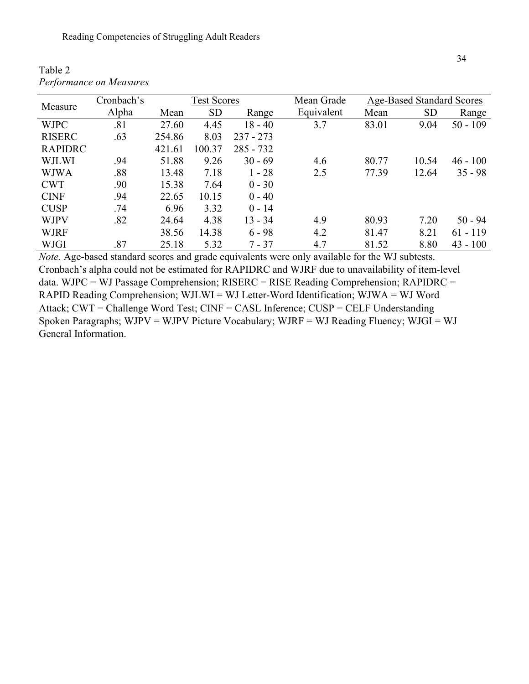| Measure        | Cronbach's |        | <b>Test Scores</b> |             | Mean Grade | <b>Age-Based Standard Scores</b> |           |            |  |
|----------------|------------|--------|--------------------|-------------|------------|----------------------------------|-----------|------------|--|
|                | Alpha      | Mean   | <b>SD</b>          | Range       | Equivalent | Mean                             | <b>SD</b> | Range      |  |
| <b>WJPC</b>    | .81        | 27.60  | 4.45               | $18 - 40$   | 3.7        | 83.01                            | 9.04      | $50 - 109$ |  |
| <b>RISERC</b>  | .63        | 254.86 | 8.03               | $237 - 273$ |            |                                  |           |            |  |
| <b>RAPIDRC</b> |            | 421.61 | 100.37             | $285 - 732$ |            |                                  |           |            |  |
| <b>WJLWI</b>   | .94        | 51.88  | 9.26               | $30 - 69$   | 4.6        | 80.77                            | 10.54     | $46 - 100$ |  |
| <b>WJWA</b>    | .88        | 13.48  | 7.18               | $1 - 28$    | 2.5        | 77.39                            | 12.64     | $35 - 98$  |  |
| <b>CWT</b>     | .90        | 15.38  | 7.64               | $0 - 30$    |            |                                  |           |            |  |
| <b>CINF</b>    | .94        | 22.65  | 10.15              | $0 - 40$    |            |                                  |           |            |  |
| <b>CUSP</b>    | .74        | 6.96   | 3.32               | $0 - 14$    |            |                                  |           |            |  |
| <b>WJPV</b>    | .82        | 24.64  | 4.38               | $13 - 34$   | 4.9        | 80.93                            | 7.20      | $50 - 94$  |  |
| <b>WJRF</b>    |            | 38.56  | 14.38              | $6 - 98$    | 4.2        | 81.47                            | 8.21      | $61 - 119$ |  |
| WJGI           | .87        | 25.18  | 5.32               | $7 - 37$    | 4.7        | 81.52                            | 8.80      | $43 - 100$ |  |

Table 2 *Performance on Measures*

*Note.* Age-based standard scores and grade equivalents were only available for the WJ subtests. Cronbach's alpha could not be estimated for RAPIDRC and WJRF due to unavailability of item-level data. WJPC = WJ Passage Comprehension; RISERC = RISE Reading Comprehension; RAPIDRC = RAPID Reading Comprehension; WJLWI = WJ Letter-Word Identification; WJWA = WJ Word Attack; CWT = Challenge Word Test; CINF = CASL Inference; CUSP = CELF Understanding Spoken Paragraphs; WJPV = WJPV Picture Vocabulary; WJRF = WJ Reading Fluency; WJGI = WJ General Information.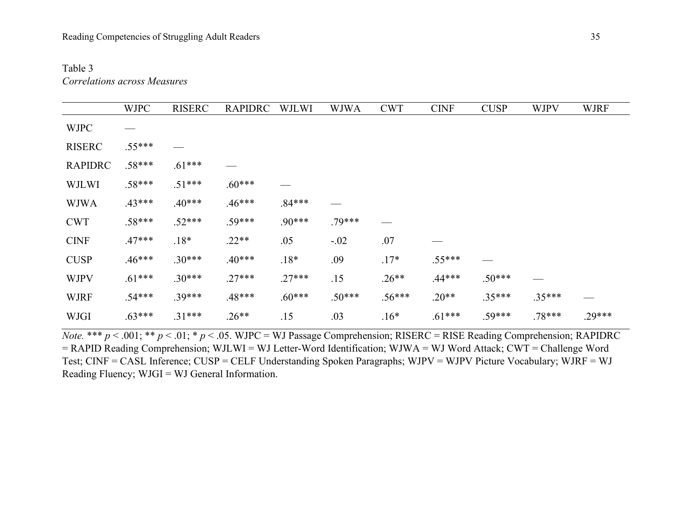# Table 3 *Correlations across Measures*

|                | <b>WJPC</b> | <b>RISERC</b> | <b>RAPIDRC</b> | <b>WJLWI</b> | <b>WJWA</b> | <b>CWT</b> | <b>CINF</b> | <b>CUSP</b> | <b>WJPV</b> | <b>WJRF</b> |
|----------------|-------------|---------------|----------------|--------------|-------------|------------|-------------|-------------|-------------|-------------|
| <b>WJPC</b>    |             |               |                |              |             |            |             |             |             |             |
| <b>RISERC</b>  | $.55***$    |               |                |              |             |            |             |             |             |             |
| <b>RAPIDRC</b> | $.58***$    | $.61***$      |                |              |             |            |             |             |             |             |
| <b>WJLWI</b>   | $.58***$    | $.51***$      | $.60***$       |              |             |            |             |             |             |             |
| <b>WJWA</b>    | $.43***$    | $.40***$      | $.46***$       | $.84***$     |             |            |             |             |             |             |
| <b>CWT</b>     | $.58***$    | $.52***$      | $.59***$       | $.90***$     | $.79***$    |            |             |             |             |             |
| <b>CINF</b>    | $.47***$    | $.18*$        | $.22**$        | .05          | $-.02$      | .07        |             |             |             |             |
| <b>CUSP</b>    | $.46***$    | $.30***$      | $.40***$       | $.18*$       | .09         | $.17*$     | $.55***$    |             |             |             |
| <b>WJPV</b>    | $.61***$    | $.30***$      | $.27***$       | $.27***$     | .15         | $.26**$    | $.44***$    | $.50***$    |             |             |
| <b>WJRF</b>    | $.54***$    | $.39***$      | $.48***$       | $.60***$     | $.50***$    | $.56***$   | $.20**$     | $.35***$    | $.35***$    |             |
| <b>WJGI</b>    | $.63***$    | $.31***$      | $.26**$        | .15          | .03         | $.16*$     | $.61***$    | $.59***$    | $.78***$    | $.29***$    |

*Note.* \*\*\* *p* < .001; \*\* *p* < .01; \* *p* < .05. WJPC = WJ Passage Comprehension; RISERC = RISE Reading Comprehension; RAPIDRC = RAPID Reading Comprehension; WJLWI = WJ Letter-Word Identification; WJWA = WJ Word Attack; CWT = Challenge Word Test; CINF = CASL Inference; CUSP = CELF Understanding Spoken Paragraphs; WJPV = WJPV Picture Vocabulary; WJRF = WJ Reading Fluency; WJGI = WJ General Information.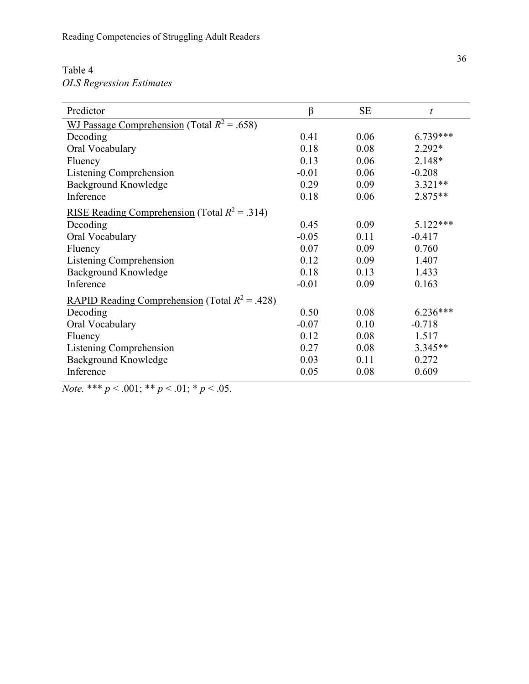# Table 4 *OLS Regression Estimates*

| Predictor                                               | $\beta$ | <b>SE</b> | $\boldsymbol{t}$ |  |  |  |  |  |
|---------------------------------------------------------|---------|-----------|------------------|--|--|--|--|--|
| WJ Passage Comprehension (Total $R^2$ = .658)           |         |           |                  |  |  |  |  |  |
| Decoding                                                | 0.41    | 0.06      | $6.739***$       |  |  |  |  |  |
| Oral Vocabulary                                         | 0.18    | 0.08      | $2.292*$         |  |  |  |  |  |
| Fluency                                                 | 0.13    | 0.06      | $2.148*$         |  |  |  |  |  |
| Listening Comprehension                                 | $-0.01$ | 0.06      | $-0.208$         |  |  |  |  |  |
| Background Knowledge                                    | 0.29    | 0.09      | $3.321**$        |  |  |  |  |  |
| Inference                                               | 0.18    | 0.06      | $2.875**$        |  |  |  |  |  |
| <u>RISE Reading Comprehension</u> (Total $R^2 = .314$ ) |         |           |                  |  |  |  |  |  |
| Decoding                                                | 0.45    | 0.09      | 5.122***         |  |  |  |  |  |
| Oral Vocabulary                                         | $-0.05$ | 0.11      | $-0.417$         |  |  |  |  |  |
| Fluency                                                 | 0.07    | 0.09      | 0.760            |  |  |  |  |  |
| Listening Comprehension                                 | 0.12    | 0.09      | 1.407            |  |  |  |  |  |
| Background Knowledge                                    | 0.18    | 0.13      | 1.433            |  |  |  |  |  |
| Inference                                               | $-0.01$ | 0.09      | 0.163            |  |  |  |  |  |
| <u>RAPID Reading Comprehension</u> (Total $R^2$ = .428) |         |           |                  |  |  |  |  |  |
| Decoding                                                | 0.50    | 0.08      | $6.236***$       |  |  |  |  |  |
| Oral Vocabulary                                         | $-0.07$ | 0.10      | $-0.718$         |  |  |  |  |  |
| Fluency                                                 | 0.12    | 0.08      | 1.517            |  |  |  |  |  |
| Listening Comprehension                                 | 0.27    | 0.08      | $3.345**$        |  |  |  |  |  |
| <b>Background Knowledge</b>                             | 0.03    | 0.11      | 0.272            |  |  |  |  |  |
| Inference                                               | 0.05    | 0.08      | 0.609            |  |  |  |  |  |

*Note.* \*\*\*  $p < .001$ ; \*\*  $p < .01$ ; \*  $p < .05$ .